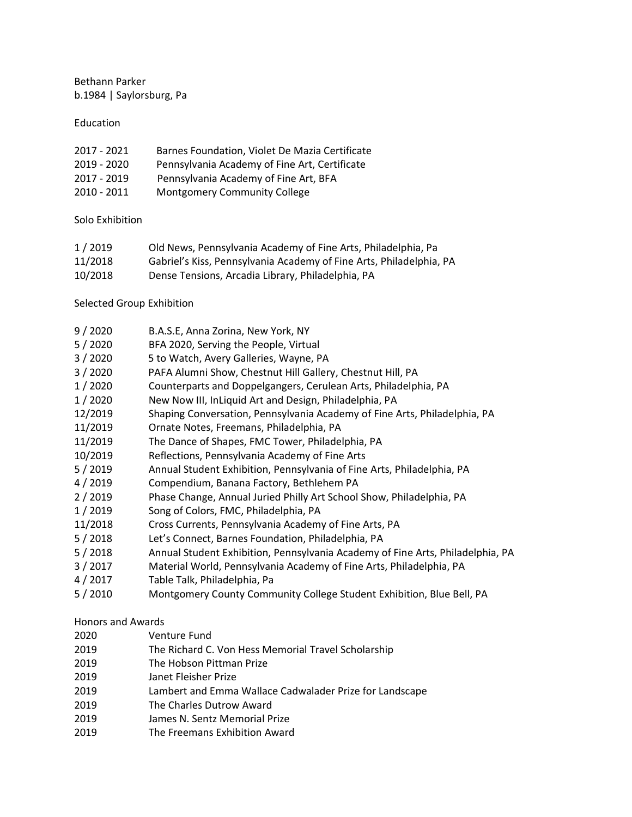Bethann Parker b.1984 | Saylorsburg, Pa

## Education

| 2017 - 2021   | Barnes Foundation, Violet De Mazia Certificate |
|---------------|------------------------------------------------|
| 2019 - 2020   | Pennsylvania Academy of Fine Art, Certificate  |
| 2017 - 2019   | Pennsylvania Academy of Fine Art, BFA          |
| $2010 - 2011$ | <b>Montgomery Community College</b>            |

## Solo Exhibition

| 1/2019  | Old News, Pennsylvania Academy of Fine Arts, Philadelphia, Pa       |
|---------|---------------------------------------------------------------------|
| 11/2018 | Gabriel's Kiss, Pennsylvania Academy of Fine Arts, Philadelphia, PA |
| 10/2018 | Dense Tensions, Arcadia Library, Philadelphia, PA                   |

## Selected Group Exhibition

| 9/2020 | B.A.S.E, Anna Zorina, New York, NY |
|--------|------------------------------------|
|--------|------------------------------------|

- 5 / 2020 BFA 2020, Serving the People, Virtual
- 3 / 2020 5 to Watch, Avery Galleries, Wayne, PA
- 3 / 2020 PAFA Alumni Show, Chestnut Hill Gallery, Chestnut Hill, PA
- 1 / 2020 Counterparts and Doppelgangers, Cerulean Arts, Philadelphia, PA
- 1 / 2020 New Now III, InLiquid Art and Design, Philadelphia, PA
- 12/2019 Shaping Conversation, Pennsylvania Academy of Fine Arts, Philadelphia, PA
- 11/2019 Ornate Notes, Freemans, Philadelphia, PA
- 11/2019 The Dance of Shapes, FMC Tower, Philadelphia, PA
- 10/2019 Reflections, Pennsylvania Academy of Fine Arts
- 5 / 2019 Annual Student Exhibition, Pennsylvania of Fine Arts, Philadelphia, PA
- 4 / 2019 Compendium, Banana Factory, Bethlehem PA
- 2 / 2019 Phase Change, Annual Juried Philly Art School Show, Philadelphia, PA
- 1 / 2019 Song of Colors, FMC, Philadelphia, PA
- 11/2018 Cross Currents, Pennsylvania Academy of Fine Arts, PA
- 5 / 2018 Let's Connect, Barnes Foundation, Philadelphia, PA
- 5 / 2018 Annual Student Exhibition, Pennsylvania Academy of Fine Arts, Philadelphia, PA
- 3 / 2017 Material World, Pennsylvania Academy of Fine Arts, Philadelphia, PA
- 4 / 2017 Table Talk, Philadelphia, Pa
- 5 / 2010 Montgomery County Community College Student Exhibition, Blue Bell, PA

## Honors and Awards

- 2020 Venture Fund
- 2019 The Richard C. Von Hess Memorial Travel Scholarship
- 2019 The Hobson Pittman Prize
- 2019 Janet Fleisher Prize
- 2019 Lambert and Emma Wallace Cadwalader Prize for Landscape
- 2019 The Charles Dutrow Award
- 2019 James N. Sentz Memorial Prize
- 2019 The Freemans Exhibition Award